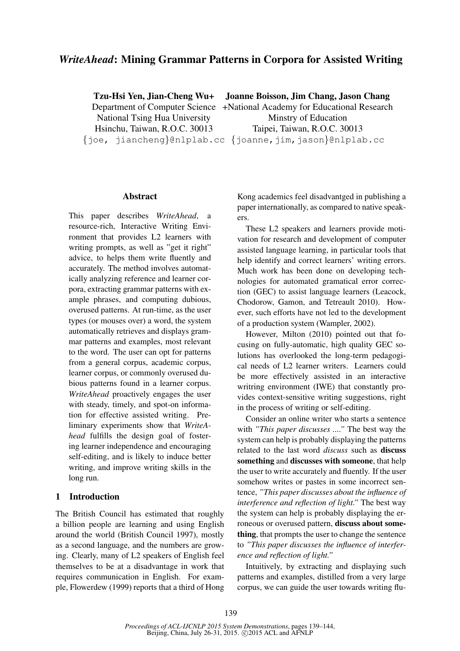# *WriteAhead*: Mining Grammar Patterns in Corpora for Assisted Writing

Tzu-Hsi Yen, Jian-Cheng Wu+

National Tsing Hua University Hsinchu, Taiwan, R.O.C. 30013 Joanne Boisson, Jim Chang, Jason Chang

Department of Computer Science +National Academy for Educational Research {joe, jiancheng}@nlplab.cc {joanne,jim,jason}@nlplab.cc Minstry of Education Taipei, Taiwan, R.O.C. 30013

#### Abstract

This paper describes *WriteAhead*, a resource-rich, Interactive Writing Environment that provides L2 learners with writing prompts, as well as "get it right" advice, to helps them write fluently and accurately. The method involves automatically analyzing reference and learner corpora, extracting grammar patterns with example phrases, and computing dubious, overused patterns. At run-time, as the user types (or mouses over) a word, the system automatically retrieves and displays grammar patterns and examples, most relevant to the word. The user can opt for patterns from a general corpus, academic corpus, learner corpus, or commonly overused dubious patterns found in a learner corpus. *WriteAhead* proactively engages the user with steady, timely, and spot-on information for effective assisted writing. Preliminary experiments show that *WriteAhead* fulfills the design goal of fostering learner independence and encouraging self-editing, and is likely to induce better writing, and improve writing skills in the long run.

## 1 Introduction

The British Council has estimated that roughly a billion people are learning and using English around the world (British Council 1997), mostly as a second language, and the numbers are growing. Clearly, many of L2 speakers of English feel themselves to be at a disadvantage in work that requires communication in English. For example, Flowerdew (1999) reports that a third of Hong

Kong academics feel disadvantged in publishing a paper internationally, as compared to native speakers.

These L2 speakers and learners provide motivation for research and development of computer assisted language learning, in particular tools that help identify and correct learners' writing errors. Much work has been done on developing technologies for automated gramatical error correction (GEC) to assist language learners (Leacock, Chodorow, Gamon, and Tetreault 2010). However, such efforts have not led to the development of a production system (Wampler, 2002).

However, Milton (2010) pointed out that focusing on fully-automatic, high quality GEC solutions has overlooked the long-term pedagogical needs of L2 learner writers. Learners could be more effectively assisted in an interactive writring environment (IWE) that constantly provides context-sensitive writing suggestions, right in the process of writing or self-editing.

Consider an online writer who starts a sentence with *"This paper discusses ...."* The best way the system can help is probably displaying the patterns related to the last word *discuss* such as discuss something and discusses with someone, that help the user to write accurately and fluently. If the user somehow writes or pastes in some incorrect sentence, *"This paper discusses about the influence of interference and reflection of light."* The best way the system can help is probably displaying the erroneous or overused pattern, discuss about something, that prompts the user to change the sentence to *"This paper discusses the influence of interference and reflection of light."*

Intuitively, by extracting and displaying such patterns and examples, distilled from a very large corpus, we can guide the user towards writing flu-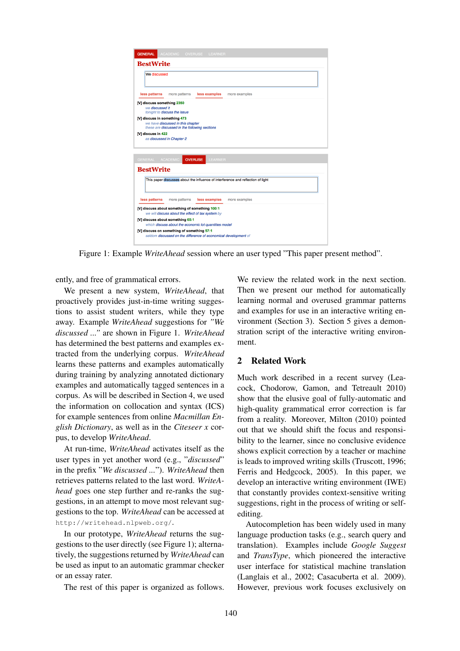

Figure 1: Example *WriteAhead* session where an user typed "This paper present method".

ently, and free of grammatical errors.

We present a new system, *WriteAhead*, that proactively provides just-in-time writing suggestions to assist student writers, while they type away. Example *WriteAhead* suggestions for *"We discussed ..."* are shown in Figure 1. *WriteAhead* has determined the best patterns and examples extracted from the underlying corpus. *WriteAhead* learns these patterns and examples automatically during training by analyzing annotated dictionary examples and automatically tagged sentences in a corpus. As will be described in Section 4, we used the information on collocation and syntax (ICS) for example sentences from online *Macmillan English Dictionary*, as well as in the *Citeseer x* corpus, to develop *WriteAhead*.

At run-time, *WriteAhead* activates itself as the user types in yet another word (e.g., "*discussed*" in the prefix "*We discussed ...*"). *WriteAhead* then retrieves patterns related to the last word. *WriteAhead* goes one step further and re-ranks the suggestions, in an attempt to move most relevant suggestions to the top. *WriteAhead* can be accessed at http://writehead.nlpweb.org/.

In our prototype, *WriteAhead* returns the suggestions to the user directly (see Figure 1); alternatively, the suggestions returned by *WriteAhead* can be used as input to an automatic grammar checker or an essay rater.

The rest of this paper is organized as follows.

We review the related work in the next section. Then we present our method for automatically learning normal and overused grammar patterns and examples for use in an interactive writing environment (Section 3). Section 5 gives a demonstration script of the interactive writing environment.

#### 2 Related Work

Much work described in a recent survey (Leacock, Chodorow, Gamon, and Tetreault 2010) show that the elusive goal of fully-automatic and high-quality grammatical error correction is far from a reality. Moreover, Milton (2010) pointed out that we should shift the focus and responsibility to the learner, since no conclusive evidence shows explicit correction by a teacher or machine is leads to improved writing skills (Truscott, 1996; Ferris and Hedgcock, 2005). In this paper, we develop an interactive writing environment (IWE) that constantly provides context-sensitive writing suggestions, right in the process of writing or selfediting.

Autocompletion has been widely used in many language production tasks (e.g., search query and translation). Examples include *Google Suggest* and *TransType*, which pioneered the interactive user interface for statistical machine translation (Langlais et al., 2002; Casacuberta et al. 2009). However, previous work focuses exclusively on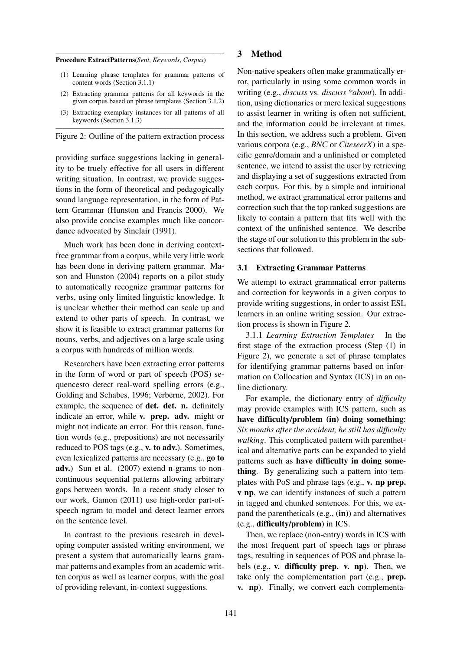#### Procedure ExtractPatterns(*Sent*, *Keywords*, *Corpus*)

(1) Learning phrase templates for grammar patterns of content words (Section 3.1.1)

————————————————————————-

- (2) Extracting grammar patterns for all keywords in the given corpus based on phrase templates (Section 3.1.2)
- (3) Extracting exemplary instances for all patterns of all keywords (Section 3.1.3)

————————————————————————- Figure 2: Outline of the pattern extraction process

providing surface suggestions lacking in generality to be truely effective for all users in different writing situation. In contrast, we provide suggestions in the form of theoretical and pedagogically sound language representation, in the form of Pattern Grammar (Hunston and Francis 2000). We also provide concise examples much like concordance advocated by Sinclair (1991).

Much work has been done in deriving contextfree grammar from a corpus, while very little work has been done in deriving pattern grammar. Mason and Hunston (2004) reports on a pilot study to automatically recognize grammar patterns for verbs, using only limited linguistic knowledge. It is unclear whether their method can scale up and extend to other parts of speech. In contrast, we show it is feasible to extract grammar patterns for nouns, verbs, and adjectives on a large scale using a corpus with hundreds of million words.

Researchers have been extracting error patterns in the form of word or part of speech (POS) sequencesto detect real-word spelling errors (e.g., Golding and Schabes, 1996; Verberne, 2002). For example, the sequence of det. det. n. definitely indicate an error, while **v.** prep. adv. might or might not indicate an error. For this reason, function words (e.g., prepositions) are not necessarily reduced to POS tags (e.g., v. to adv.). Sometimes, even lexicalized patterns are necessary (e.g., go to adv.) Sun et al. (2007) extend n-grams to noncontinuous sequential patterns allowing arbitrary gaps between words. In a recent study closer to our work, Gamon (2011) use high-order part-ofspeech ngram to model and detect learner errors on the sentence level.

In contrast to the previous research in developing computer assisted writing environment, we present a system that automatically learns grammar patterns and examples from an academic written corpus as well as learner corpus, with the goal of providing relevant, in-context suggestions.

#### 3 Method

Non-native speakers often make grammatically error, particularly in using some common words in writing (e.g., *discuss* vs. *discuss \*about*). In addition, using dictionaries or mere lexical suggestions to assist learner in writing is often not sufficient, and the information could be irrelevant at times. In this section, we address such a problem. Given various corpora (e.g., *BNC* or *CiteseerX*) in a specific genre/domain and a unfinished or completed sentence, we intend to assist the user by retrieving and displaying a set of suggestions extracted from each corpus. For this, by a simple and intuitional method, we extract grammatical error patterns and correction such that the top ranked suggestions are likely to contain a pattern that fits well with the context of the unfinished sentence. We describe the stage of our solution to this problem in the subsections that followed.

## 3.1 Extracting Grammar Patterns

We attempt to extract grammatical error patterns and correction for keywords in a given corpus to provide writing suggestions, in order to assist ESL learners in an online writing session. Our extraction process is shown in Figure 2.

3.1.1 *Learning Extraction Templates* In the first stage of the extraction process (Step (1) in Figure 2), we generate a set of phrase templates for identifying grammar patterns based on information on Collocation and Syntax (ICS) in an online dictionary.

For example, the dictionary entry of *difficulty* may provide examples with ICS pattern, such as have difficulty/problem (in) doing something: *Six months after the accident, he still has difficulty walking*. This complicated pattern with parenthetical and alternative parts can be expanded to yield patterns such as have difficulty in doing something. By generalizing such a pattern into templates with PoS and phrase tags (e.g., v. np prep. v np, we can identify instances of such a pattern in tagged and chunked sentences. For this, we expand the parentheticals  $(e.g., (in))$  and alternatives (e.g., difficulty/problem) in ICS.

Then, we replace (non-entry) words in ICS with the most frequent part of speech tags or phrase tags, resulting in sequences of POS and phrase labels (e.g., v. difficulty prep. v. np). Then, we take only the complementation part (e.g., prep. v. np). Finally, we convert each complementa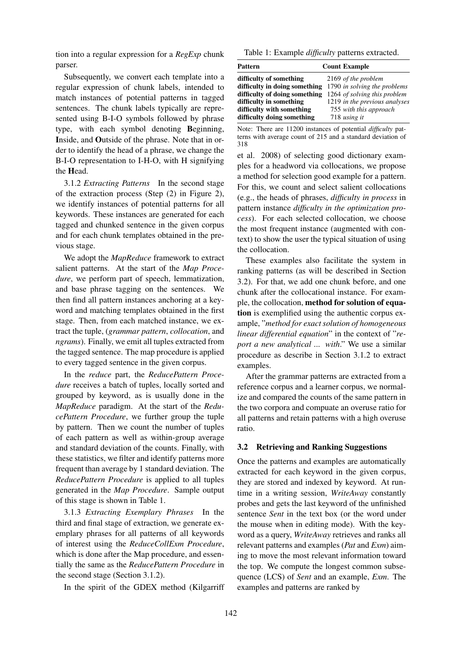tion into a regular expression for a *RegExp* chunk parser.

Subsequently, we convert each template into a regular expression of chunk labels, intended to match instances of potential patterns in tagged sentences. The chunk labels typically are represented using B-I-O symbols followed by phrase type, with each symbol denoting Beginning, Inside, and Outside of the phrase. Note that in order to identify the head of a phrase, we change the B-I-O representation to I-H-O, with H signifying the Head.

3.1.2 *Extracting Patterns* In the second stage of the extraction process (Step (2) in Figure 2), we identify instances of potential patterns for all keywords. These instances are generated for each tagged and chunked sentence in the given corpus and for each chunk templates obtained in the previous stage.

We adopt the *MapReduce* framework to extract salient patterns. At the start of the *Map Procedure*, we perform part of speech, lemmatization, and base phrase tagging on the sentences. We then find all pattern instances anchoring at a keyword and matching templates obtained in the first stage. Then, from each matched instance, we extract the tuple, (*grammar pattern*, *collocation*, and *ngrams*). Finally, we emit all tuples extracted from the tagged sentence. The map procedure is applied to every tagged sentence in the given corpus.

In the *reduce* part, the *ReducePattern Procedure* receives a batch of tuples, locally sorted and grouped by keyword, as is usually done in the *MapReduce* paradigm. At the start of the *ReducePattern Procedure*, we further group the tuple by pattern. Then we count the number of tuples of each pattern as well as within-group average and standard deviation of the counts. Finally, with these statistics, we filter and identify patterns more frequent than average by 1 standard deviation. The *ReducePattern Procedure* is applied to all tuples generated in the *Map Procedure*. Sample output of this stage is shown in Table 1.

3.1.3 *Extracting Exemplary Phrases* In the third and final stage of extraction, we generate exemplary phrases for all patterns of all keywords of interest using the *ReduceCollExm Procedure*, which is done after the Map procedure, and essentially the same as the *ReducePattern Procedure* in the second stage (Section 3.1.2).

In the spirit of the GDEX method (Kilgarriff

Table 1: Example *difficulty* patterns extracted.

| Pattern                       | <b>Count Example</b>          |
|-------------------------------|-------------------------------|
| difficulty of something       | 2169 of the problem           |
| difficulty in doing something | 1790 in solving the problems  |
| difficulty of doing something | 1264 of solving this problem  |
| difficulty in something       | 1219 in the previous analyses |
| difficulty with something     | 755 with this approach        |
| difficulty doing something    | 718 using it                  |

Note: There are 11200 instances of potential *difficulty* patterns with average count of 215 and a standard deviation of 318

et al. 2008) of selecting good dictionary examples for a headword via collocations, we propose a method for selection good example for a pattern. For this, we count and select salient collocations (e.g., the heads of phrases, *difficulty in process* in pattern instance *difficulty in the optimization process*). For each selected collocation, we choose the most frequent instance (augmented with context) to show the user the typical situation of using the collocation.

These examples also facilitate the system in ranking patterns (as will be described in Section 3.2). For that, we add one chunk before, and one chunk after the collocational instance. For example, the collocation, method for solution of equation is exemplified using the authentic corpus example, "*method for exact solution of homogeneous linear differential equation*" in the context of "*report a new analytical ... with*." We use a similar procedure as describe in Section 3.1.2 to extract examples.

After the grammar patterns are extracted from a reference corpus and a learner corpus, we normalize and compared the counts of the same pattern in the two corpora and compuate an overuse ratio for all patterns and retain patterns with a high overuse ratio.

#### 3.2 Retrieving and Ranking Suggestions

Once the patterns and examples are automatically extracted for each keyword in the given corpus, they are stored and indexed by keyword. At runtime in a writing session, *WriteAway* constantly probes and gets the last keyword of the unfinished sentence *Sent* in the text box (or the word under the mouse when in editing mode). With the keyword as a query, *WriteAway* retrieves and ranks all relevant patterns and examples (*Pat* and *Exm*) aiming to move the most relevant information toward the top. We compute the longest common subsequence (LCS) of *Sent* and an example, *Exm*. The examples and patterns are ranked by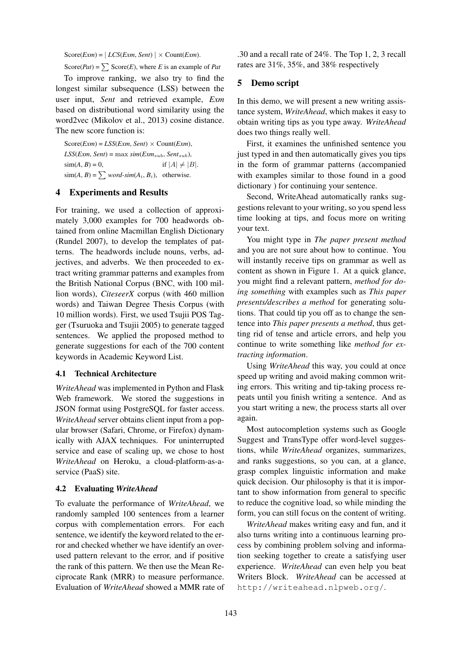$Score(Exm) = | LCS(Exm, Sent)| \times Count(Exm)$ .

Score(*Pat*) =  $\sum$  Score(*E*), where *E* is an example of *Pat* 

To improve ranking, we also try to find the longest similar subsequence (LSS) between the user input, *Sent* and retrieved example, *Exm* based on distributional word similarity using the word2vec (Mikolov et al., 2013) cosine distance. The new score function is:

 $Score(Exm) = LSS(Exm, Sent) \times Count(Exm)$ , *LSS*(*Exm*, *Sent*) = max *sim*(*Exm*sub, *Sent*sub),  $\sin(A, B) = 0,$  if  $|A| \neq |B|$ .  $\text{sim}(A, B) = \sum$  *word-sim*( $A_i, B_i$ ), otherwise.

### 4 Experiments and Results

For training, we used a collection of approximately 3,000 examples for 700 headwords obtained from online Macmillan English Dictionary (Rundel 2007), to develop the templates of patterns. The headwords include nouns, verbs, adjectives, and adverbs. We then proceeded to extract writing grammar patterns and examples from the British National Corpus (BNC, with 100 million words), *CiteseerX* corpus (with 460 million words) and Taiwan Degree Thesis Corpus (with 10 million words). First, we used Tsujii POS Tagger (Tsuruoka and Tsujii 2005) to generate tagged sentences. We applied the proposed method to generate suggestions for each of the 700 content keywords in Academic Keyword List.

#### 4.1 Technical Architecture

*WriteAhead* was implemented in Python and Flask Web framework. We stored the suggestions in JSON format using PostgreSQL for faster access. *WriteAhead* server obtains client input from a popular browser (Safari, Chrome, or Firefox) dynamically with AJAX techniques. For uninterrupted service and ease of scaling up, we chose to host *WriteAhead* on Heroku, a cloud-platform-as-aservice (PaaS) site.

#### 4.2 Evaluating *WriteAhead*

To evaluate the performance of *WriteAhead*, we randomly sampled 100 sentences from a learner corpus with complementation errors. For each sentence, we identify the keyword related to the error and checked whether we have identify an overused pattern relevant to the error, and if positive the rank of this pattern. We then use the Mean Reciprocate Rank (MRR) to measure performance. Evaluation of *WriteAhead* showed a MMR rate of

.30 and a recall rate of 24%. The Top 1, 2, 3 recall rates are 31%, 35%, and 38% respectively

## 5 Demo script

In this demo, we will present a new writing assistance system, *WriteAhead*, which makes it easy to obtain writing tips as you type away. *WriteAhead* does two things really well.

First, it examines the unfinished sentence you just typed in and then automatically gives you tips in the form of grammar patterns (accompanied with examples similar to those found in a good dictionary ) for continuing your sentence.

Second, WriteAhead automatically ranks suggestions relevant to your writing, so you spend less time looking at tips, and focus more on writing your text.

You might type in *The paper present method* and you are not sure about how to continue. You will instantly receive tips on grammar as well as content as shown in Figure 1. At a quick glance, you might find a relevant pattern, *method for doing something* with examples such as *This paper presents/describes a method* for generating solutions. That could tip you off as to change the sentence into *This paper presents a method*, thus getting rid of tense and article errors, and help you continue to write something like *method for extracting information*.

Using *WriteAhead* this way, you could at once speed up writing and avoid making common writing errors. This writing and tip-taking process repeats until you finish writing a sentence. And as you start writing a new, the process starts all over again.

Most autocompletion systems such as Google Suggest and TransType offer word-level suggestions, while *WriteAhead* organizes, summarizes, and ranks suggestions, so you can, at a glance, grasp complex linguistic information and make quick decision. Our philosophy is that it is important to show information from general to specific to reduce the cognitive load, so while minding the form, you can still focus on the content of writing.

*WriteAhead* makes writing easy and fun, and it also turns writing into a continuous learning process by combining problem solving and information seeking together to create a satisfying user experience. *WriteAhead* can even help you beat Writers Block. *WriteAhead* can be accessed at http://writeahead.nlpweb.org/.